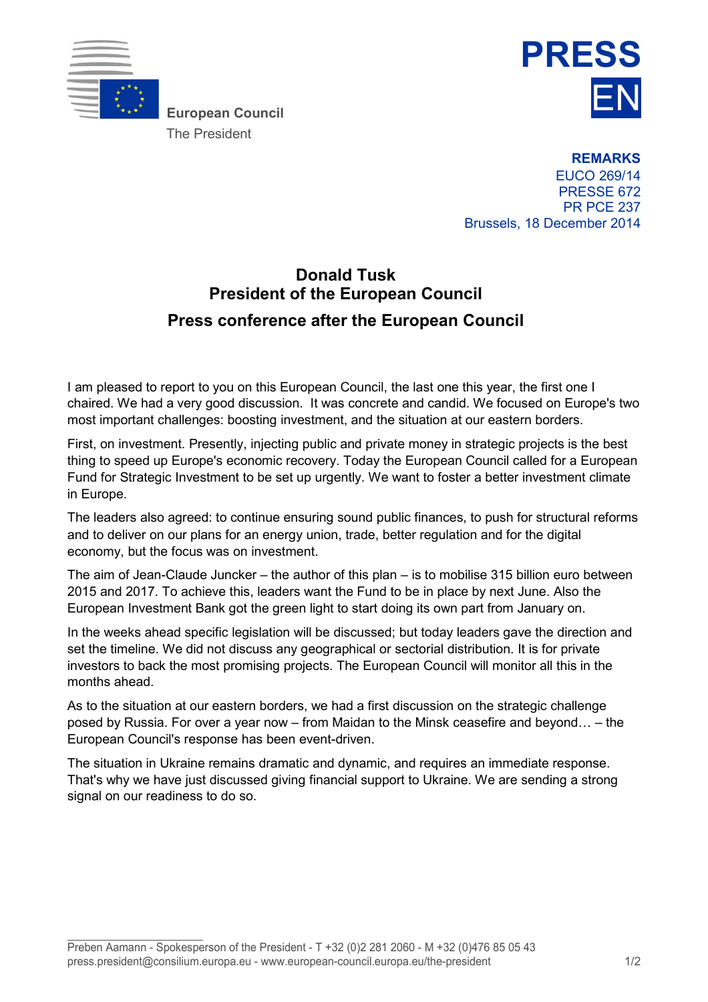

The President



**REMARKS** EUCO 269/14 PRESSE 672 PR PCE 237 Brussels, 18 December 2014

## **Donald Tusk President of the European Council Press conference after the European Council**

I am pleased to report to you on this European Council, the last one this year, the first one I chaired. We had a very good discussion. It was concrete and candid. We focused on Europe's two most important challenges: boosting investment, and the situation at our eastern borders.

First, on investment. Presently, injecting public and private money in strategic projects is the best thing to speed up Europe's economic recovery. Today the European Council called for a European Fund for Strategic Investment to be set up urgently. We want to foster a better investment climate in Europe.

The leaders also agreed: to continue ensuring sound public finances, to push for structural reforms and to deliver on our plans for an energy union, trade, better regulation and for the digital economy, but the focus was on investment.

The aim of Jean-Claude Juncker – the author of this plan – is to mobilise 315 billion euro between 2015 and 2017. To achieve this, leaders want the Fund to be in place by next June. Also the European Investment Bank got the green light to start doing its own part from January on.

In the weeks ahead specific legislation will be discussed; but today leaders gave the direction and set the timeline. We did not discuss any geographical or sectorial distribution. It is for private investors to back the most promising projects. The European Council will monitor all this in the months ahead.

As to the situation at our eastern borders, we had a first discussion on the strategic challenge posed by Russia. For over a year now – from Maidan to the Minsk ceasefire and beyond… – the European Council's response has been event-driven.

The situation in Ukraine remains dramatic and dynamic, and requires an immediate response. That's why we have just discussed giving financial support to Ukraine. We are sending a strong signal on our readiness to do so.